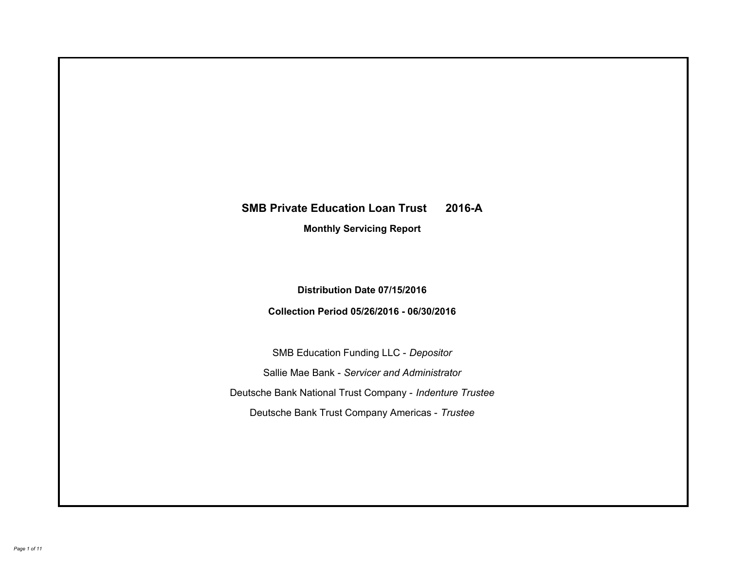# **SMB Private Education Loan Trust 2016-A Monthly Servicing Report**

# **Distribution Date 07/15/2016**

# **Collection Period 05/26/2016 - 06/30/2016**

SMB Education Funding LLC - *Depositor* Sallie Mae Bank - *Servicer and Administrator* Deutsche Bank National Trust Company - *Indenture Trustee* Deutsche Bank Trust Company Americas - *Trustee*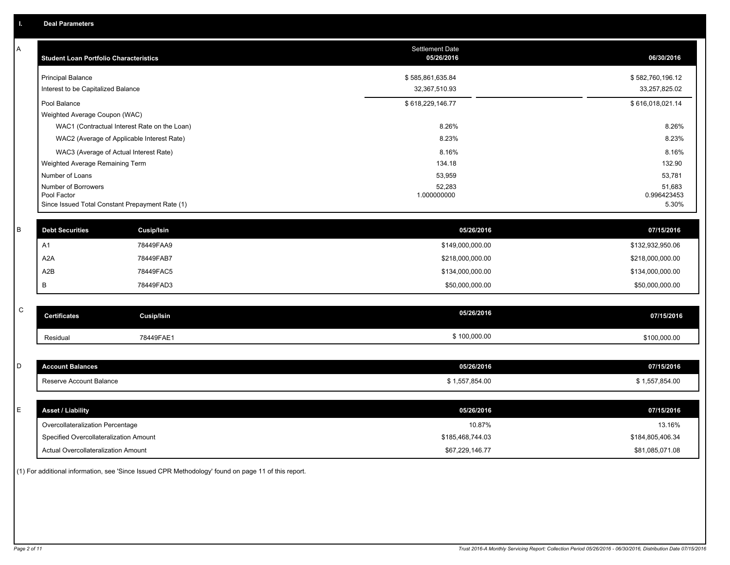| A           | <b>Student Loan Portfolio Characteristics</b>                  |                                              | <b>Settlement Date</b><br>05/26/2016 | 06/30/2016           |
|-------------|----------------------------------------------------------------|----------------------------------------------|--------------------------------------|----------------------|
|             | <b>Principal Balance</b>                                       |                                              | \$585,861,635.84                     | \$582,760,196.12     |
|             | Interest to be Capitalized Balance                             |                                              | 32,367,510.93                        | 33,257,825.02        |
|             | Pool Balance                                                   |                                              | \$618,229,146.77                     | \$616,018,021.14     |
|             | Weighted Average Coupon (WAC)                                  |                                              |                                      |                      |
|             |                                                                | WAC1 (Contractual Interest Rate on the Loan) | 8.26%                                | 8.26%                |
|             |                                                                | WAC2 (Average of Applicable Interest Rate)   | 8.23%                                | 8.23%                |
|             | WAC3 (Average of Actual Interest Rate)                         |                                              | 8.16%                                | 8.16%                |
|             | Weighted Average Remaining Term                                |                                              | 134.18                               | 132.90               |
|             | Number of Loans                                                |                                              | 53,959                               | 53,781               |
|             | Number of Borrowers                                            |                                              | 52,283                               | 51,683               |
|             | Pool Factor<br>Since Issued Total Constant Prepayment Rate (1) |                                              | 1.000000000                          | 0.996423453<br>5.30% |
|             |                                                                |                                              |                                      |                      |
| $\mathsf B$ | <b>Debt Securities</b>                                         | <b>Cusip/Isin</b>                            | 05/26/2016                           | 07/15/2016           |
|             | A1                                                             | 78449FAA9                                    | \$149,000,000.00                     | \$132,932,950.06     |
|             | A2A                                                            | 78449FAB7                                    | \$218,000,000.00                     | \$218,000,000.00     |
|             | A2B                                                            | 78449FAC5                                    | \$134,000,000.00                     | \$134,000,000.00     |
|             | B                                                              | 78449FAD3                                    | \$50,000,000.00                      | \$50,000,000.00      |
|             |                                                                |                                              |                                      |                      |
| ${\bf C}$   | <b>Certificates</b>                                            | <b>Cusip/Isin</b>                            | 05/26/2016                           | 07/15/2016           |
|             | Residual                                                       | 78449FAE1                                    | \$100,000.00                         | \$100,000.00         |
|             |                                                                |                                              |                                      |                      |
| D           | <b>Account Balances</b>                                        |                                              | 05/26/2016                           | 07/15/2016           |
|             | Reserve Account Balance                                        |                                              | \$1,557,854.00                       | \$1,557,854.00       |
|             |                                                                |                                              |                                      |                      |
| E           | <b>Asset / Liability</b>                                       |                                              | 05/26/2016                           | 07/15/2016           |
|             | Overcollateralization Percentage                               |                                              | 10.87%                               | 13.16%               |
|             | Specified Overcollateralization Amount                         |                                              | \$185,468,744.03                     | \$184,805,406.34     |
|             | Actual Overcollateralization Amount                            |                                              | \$67,229,146.77                      | \$81,085,071.08      |

(1) For additional information, see 'Since Issued CPR Methodology' found on page 11 of this report.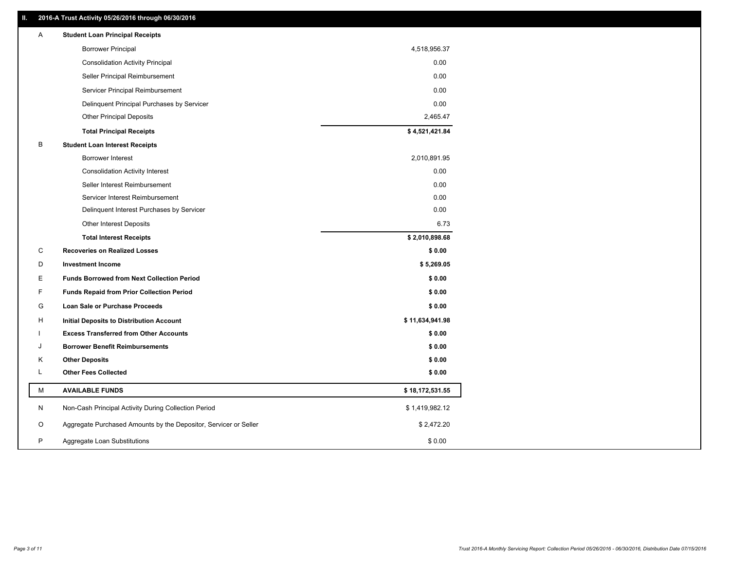# **II. 2016-A Trust Activity 05/26/2016 through 06/30/2016**

| Α | <b>Student Loan Principal Receipts</b>                           |                 |
|---|------------------------------------------------------------------|-----------------|
|   | <b>Borrower Principal</b>                                        | 4,518,956.37    |
|   | <b>Consolidation Activity Principal</b>                          | 0.00            |
|   | Seller Principal Reimbursement                                   | 0.00            |
|   | Servicer Principal Reimbursement                                 | 0.00            |
|   | Delinquent Principal Purchases by Servicer                       | 0.00            |
|   | <b>Other Principal Deposits</b>                                  | 2,465.47        |
|   | <b>Total Principal Receipts</b>                                  | \$4,521,421.84  |
| B | <b>Student Loan Interest Receipts</b>                            |                 |
|   | Borrower Interest                                                | 2,010,891.95    |
|   | <b>Consolidation Activity Interest</b>                           | 0.00            |
|   | Seller Interest Reimbursement                                    | 0.00            |
|   | Servicer Interest Reimbursement                                  | 0.00            |
|   | Delinquent Interest Purchases by Servicer                        | 0.00            |
|   | Other Interest Deposits                                          | 6.73            |
|   | <b>Total Interest Receipts</b>                                   | \$2,010,898.68  |
| C | <b>Recoveries on Realized Losses</b>                             | \$0.00          |
| D | <b>Investment Income</b>                                         | \$5,269.05      |
| E | <b>Funds Borrowed from Next Collection Period</b>                | \$0.00          |
| F | <b>Funds Repaid from Prior Collection Period</b>                 | \$0.00          |
| G | Loan Sale or Purchase Proceeds                                   | \$0.00          |
| н | Initial Deposits to Distribution Account                         | \$11,634,941.98 |
|   | <b>Excess Transferred from Other Accounts</b>                    | \$0.00          |
| J | <b>Borrower Benefit Reimbursements</b>                           | \$0.00          |
| Κ | <b>Other Deposits</b>                                            | \$0.00          |
| L | <b>Other Fees Collected</b>                                      | \$0.00          |
| м | <b>AVAILABLE FUNDS</b>                                           | \$18,172,531.55 |
| N | Non-Cash Principal Activity During Collection Period             | \$1,419,982.12  |
| O | Aggregate Purchased Amounts by the Depositor, Servicer or Seller | \$2,472.20      |
| P | Aggregate Loan Substitutions                                     | \$0.00          |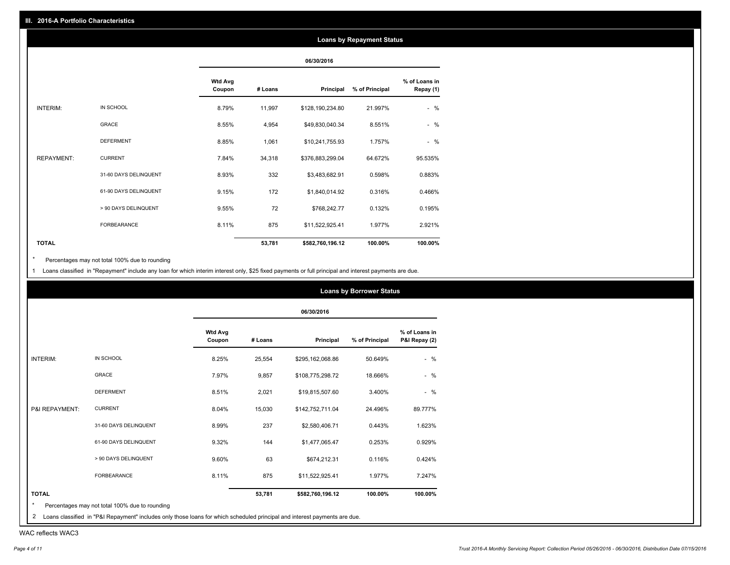### **Loans by Repayment Status**

|                   |                       |                          |         | 06/30/2016       |                |                            |
|-------------------|-----------------------|--------------------------|---------|------------------|----------------|----------------------------|
|                   |                       | <b>Wtd Avg</b><br>Coupon | # Loans | Principal        | % of Principal | % of Loans in<br>Repay (1) |
| <b>INTERIM:</b>   | IN SCHOOL             | 8.79%                    | 11,997  | \$128,190,234.80 | 21.997%        | $-$ %                      |
|                   | GRACE                 | 8.55%                    | 4,954   | \$49,830,040.34  | 8.551%         | $-$ %                      |
|                   | <b>DEFERMENT</b>      | 8.85%                    | 1,061   | \$10,241,755.93  | 1.757%         | $-$ %                      |
| <b>REPAYMENT:</b> | <b>CURRENT</b>        | 7.84%                    | 34,318  | \$376,883,299.04 | 64.672%        | 95.535%                    |
|                   | 31-60 DAYS DELINQUENT | 8.93%                    | 332     | \$3,483,682.91   | 0.598%         | 0.883%                     |
|                   | 61-90 DAYS DELINQUENT | 9.15%                    | 172     | \$1,840,014.92   | 0.316%         | 0.466%                     |
|                   | > 90 DAYS DELINQUENT  | 9.55%                    | 72      | \$768,242.77     | 0.132%         | 0.195%                     |
|                   | <b>FORBEARANCE</b>    | 8.11%                    | 875     | \$11,522,925.41  | 1.977%         | 2.921%                     |
| <b>TOTAL</b>      |                       |                          | 53,781  | \$582,760,196.12 | 100.00%        | 100.00%                    |

Percentages may not total 100% due to rounding  $^\star$ 

1 Loans classified in "Repayment" include any loan for which interim interest only, \$25 fixed payments or full principal and interest payments are due.

|                 |                                                |                          |         |                  | <b>Loans by Borrower Status</b> |                                |
|-----------------|------------------------------------------------|--------------------------|---------|------------------|---------------------------------|--------------------------------|
|                 |                                                |                          |         | 06/30/2016       |                                 |                                |
|                 |                                                | <b>Wtd Avg</b><br>Coupon | # Loans | Principal        | % of Principal                  | % of Loans in<br>P&I Repay (2) |
| <b>INTERIM:</b> | IN SCHOOL                                      | 8.25%                    | 25,554  | \$295,162,068.86 | 50.649%                         | $-$ %                          |
|                 | <b>GRACE</b>                                   | 7.97%                    | 9,857   | \$108,775,298.72 | 18.666%                         | $-$ %                          |
|                 | <b>DEFERMENT</b>                               | 8.51%                    | 2,021   | \$19,815,507.60  | 3.400%                          | $-$ %                          |
| P&I REPAYMENT:  | <b>CURRENT</b>                                 | 8.04%                    | 15,030  | \$142,752,711.04 | 24.496%                         | 89.777%                        |
|                 | 31-60 DAYS DELINQUENT                          | 8.99%                    | 237     | \$2,580,406.71   | 0.443%                          | 1.623%                         |
|                 | 61-90 DAYS DELINQUENT                          | 9.32%                    | 144     | \$1,477,065.47   | 0.253%                          | 0.929%                         |
|                 | > 90 DAYS DELINQUENT                           | 9.60%                    | 63      | \$674,212.31     | 0.116%                          | 0.424%                         |
|                 | <b>FORBEARANCE</b>                             | 8.11%                    | 875     | \$11,522,925.41  | 1.977%                          | 7.247%                         |
| <b>TOTAL</b>    |                                                |                          | 53,781  | \$582,760,196.12 | 100.00%                         | 100.00%                        |
|                 | Percentages may not total 100% due to rounding |                          |         |                  |                                 |                                |

2 Loans classified in "P&I Repayment" includes only those loans for which scheduled principal and interest payments are due.

WAC reflects WAC3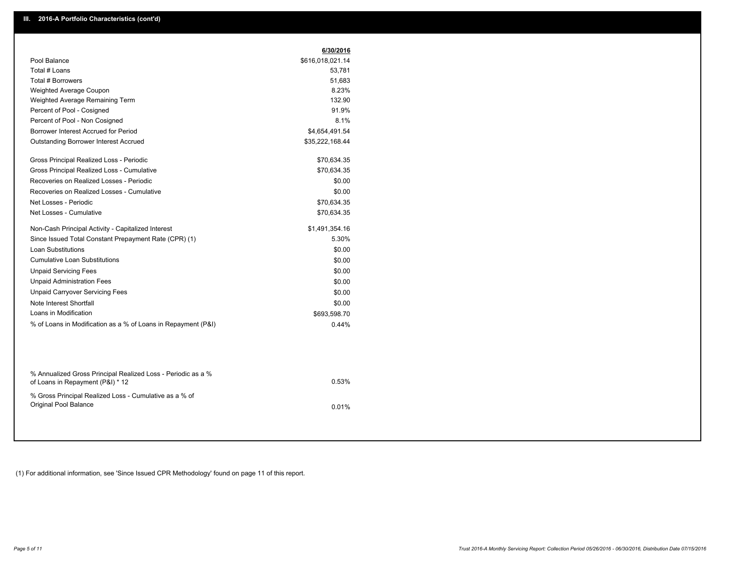|                                                                                                  | 6/30/2016        |
|--------------------------------------------------------------------------------------------------|------------------|
| Pool Balance                                                                                     | \$616,018,021.14 |
| Total # Loans                                                                                    | 53,781           |
| Total # Borrowers                                                                                | 51,683           |
| <b>Weighted Average Coupon</b>                                                                   | 8.23%            |
| Weighted Average Remaining Term                                                                  | 132.90           |
| Percent of Pool - Cosigned                                                                       | 91.9%            |
| Percent of Pool - Non Cosigned                                                                   | 8.1%             |
| Borrower Interest Accrued for Period                                                             | \$4,654,491.54   |
| <b>Outstanding Borrower Interest Accrued</b>                                                     | \$35,222,168.44  |
| Gross Principal Realized Loss - Periodic                                                         | \$70,634.35      |
| Gross Principal Realized Loss - Cumulative                                                       | \$70,634.35      |
| Recoveries on Realized Losses - Periodic                                                         | \$0.00           |
| Recoveries on Realized Losses - Cumulative                                                       | \$0.00           |
| Net Losses - Periodic                                                                            | \$70,634.35      |
| Net Losses - Cumulative                                                                          | \$70,634.35      |
| Non-Cash Principal Activity - Capitalized Interest                                               | \$1,491,354.16   |
| Since Issued Total Constant Prepayment Rate (CPR) (1)                                            | 5.30%            |
| <b>Loan Substitutions</b>                                                                        | \$0.00           |
| <b>Cumulative Loan Substitutions</b>                                                             | \$0.00           |
| <b>Unpaid Servicing Fees</b>                                                                     | \$0.00           |
| <b>Unpaid Administration Fees</b>                                                                | \$0.00           |
| <b>Unpaid Carryover Servicing Fees</b>                                                           | \$0.00           |
| Note Interest Shortfall                                                                          | \$0.00           |
| Loans in Modification                                                                            | \$693,598.70     |
| % of Loans in Modification as a % of Loans in Repayment (P&I)                                    | 0.44%            |
|                                                                                                  |                  |
| % Annualized Gross Principal Realized Loss - Periodic as a %<br>of Loans in Repayment (P&I) * 12 | 0.53%            |

0.01%

% Gross Principal Realized Loss - Cumulative as a % of Original Pool Balance

(1) For additional information, see 'Since Issued CPR Methodology' found on page 11 of this report.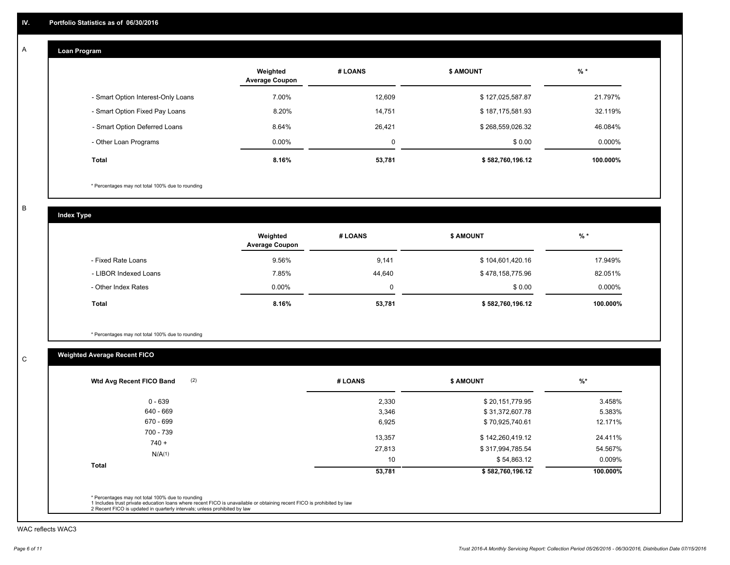#### **Loan Program**  A

|                                    | Weighted<br><b>Average Coupon</b> | # LOANS  | <b>\$ AMOUNT</b> | $%$ *     |
|------------------------------------|-----------------------------------|----------|------------------|-----------|
| - Smart Option Interest-Only Loans | 7.00%                             | 12,609   | \$127,025,587.87 | 21.797%   |
| - Smart Option Fixed Pay Loans     | 8.20%                             | 14,751   | \$187,175,581.93 | 32.119%   |
| - Smart Option Deferred Loans      | 8.64%                             | 26,421   | \$268,559,026.32 | 46.084%   |
| - Other Loan Programs              | $0.00\%$                          | $\Omega$ | \$0.00           | $0.000\%$ |
| Total                              | 8.16%                             | 53,781   | \$582,760,196.12 | 100.000%  |

\* Percentages may not total 100% due to rounding

B

C

**Index Type**

|                       | Weighted<br><b>Average Coupon</b> | # LOANS | <b>\$ AMOUNT</b> | $%$ *     |
|-----------------------|-----------------------------------|---------|------------------|-----------|
| - Fixed Rate Loans    | 9.56%                             | 9,141   | \$104,601,420.16 | 17.949%   |
| - LIBOR Indexed Loans | 7.85%                             | 44,640  | \$478,158,775.96 | 82.051%   |
| - Other Index Rates   | $0.00\%$                          |         | \$0.00           | $0.000\%$ |
| <b>Total</b>          | 8.16%                             | 53,781  | \$582,760,196.12 | 100.000%  |

\* Percentages may not total 100% due to rounding

# **Weighted Average Recent FICO**

| $0 - 639$            | 2,330  | \$20,151,779.95  | 3.458%    |
|----------------------|--------|------------------|-----------|
| 640 - 669            | 3,346  | \$31,372,607.78  | 5.383%    |
| 670 - 699            | 6,925  | \$70,925,740.61  | 12.171%   |
| 700 - 739<br>$740 +$ | 13,357 | \$142,260,419.12 | 24.411%   |
| N/A(1)               | 27,813 | \$317,994,785.54 | 54.567%   |
|                      | 10     | \$54,863.12      | $0.009\%$ |
| <b>Total</b>         | 53,781 | \$582,760,196.12 | 100.000%  |

WAC reflects WAC3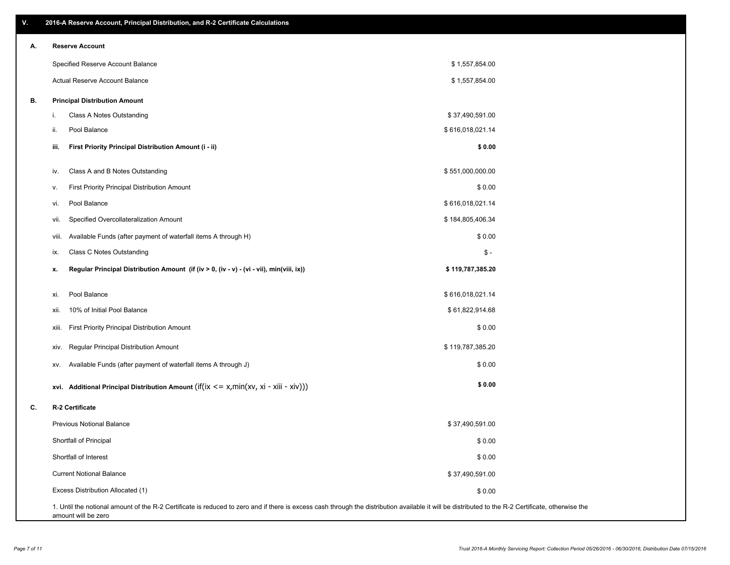| ۷. |     | 2016-A Reserve Account, Principal Distribution, and R-2 Certificate Calculations                                                                                                                   |                  |  |
|----|-----|----------------------------------------------------------------------------------------------------------------------------------------------------------------------------------------------------|------------------|--|
| А. |     | <b>Reserve Account</b>                                                                                                                                                                             |                  |  |
|    |     | Specified Reserve Account Balance                                                                                                                                                                  | \$1,557,854.00   |  |
|    |     | <b>Actual Reserve Account Balance</b>                                                                                                                                                              | \$1,557,854.00   |  |
| В. |     | <b>Principal Distribution Amount</b>                                                                                                                                                               |                  |  |
|    | i.  | Class A Notes Outstanding                                                                                                                                                                          | \$37,490,591.00  |  |
|    | ii. | Pool Balance                                                                                                                                                                                       | \$616,018,021.14 |  |
|    |     | First Priority Principal Distribution Amount (i - ii)<br>iii.                                                                                                                                      | \$0.00           |  |
|    |     | Class A and B Notes Outstanding<br>IV.                                                                                                                                                             | \$551,000,000.00 |  |
|    |     | First Priority Principal Distribution Amount<br>۷.                                                                                                                                                 | \$0.00           |  |
|    |     | Pool Balance<br>vi.                                                                                                                                                                                | \$616,018,021.14 |  |
|    |     | Specified Overcollateralization Amount<br>vii.                                                                                                                                                     | \$184,805,406.34 |  |
|    |     | Available Funds (after payment of waterfall items A through H)<br>viii.                                                                                                                            | \$0.00           |  |
|    |     | Class C Notes Outstanding<br>ix.                                                                                                                                                                   | $\frac{2}{3}$ -  |  |
|    | х.  | Regular Principal Distribution Amount (if (iv > 0, (iv - v) - (vi - vii), min(viii, ix))                                                                                                           | \$119,787,385.20 |  |
|    |     | Pool Balance<br>xi.                                                                                                                                                                                | \$616,018,021.14 |  |
|    |     | 10% of Initial Pool Balance<br>xii.                                                                                                                                                                | \$61,822,914.68  |  |
|    |     | <b>First Priority Principal Distribution Amount</b><br>xiii.                                                                                                                                       | \$0.00           |  |
|    |     | <b>Regular Principal Distribution Amount</b><br>XIV.                                                                                                                                               | \$119,787,385.20 |  |
|    |     | Available Funds (after payment of waterfall items A through J)<br>XV.                                                                                                                              | \$0.00           |  |
|    |     | xvi. Additional Principal Distribution Amount (if(ix $\lt$ = x, min(xv, xi - xiii - xiv)))                                                                                                         | \$0.00           |  |
| C. |     | R-2 Certificate                                                                                                                                                                                    |                  |  |
|    |     | <b>Previous Notional Balance</b>                                                                                                                                                                   | \$37,490,591.00  |  |
|    |     | Shortfall of Principal                                                                                                                                                                             | \$0.00           |  |
|    |     | Shortfall of Interest                                                                                                                                                                              | \$0.00           |  |
|    |     | <b>Current Notional Balance</b>                                                                                                                                                                    | \$37,490,591.00  |  |
|    |     | Excess Distribution Allocated (1)                                                                                                                                                                  | \$0.00           |  |
|    |     | 1. Until the notional amount of the R-2 Certificate is reduced to zero and if there is excess cash through the distribution available it will be distributed to the R-2 Certificate, otherwise the |                  |  |

amount will be zero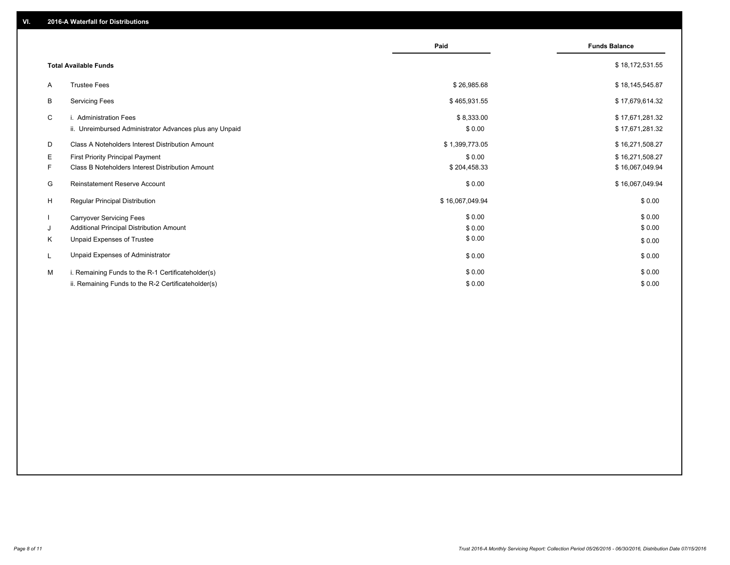|         |                                                                                                           | Paid                       | <b>Funds Balance</b>               |
|---------|-----------------------------------------------------------------------------------------------------------|----------------------------|------------------------------------|
|         | <b>Total Available Funds</b>                                                                              |                            | \$18,172,531.55                    |
| A       | <b>Trustee Fees</b>                                                                                       | \$26,985.68                | \$18,145,545.87                    |
| В       | <b>Servicing Fees</b>                                                                                     | \$465,931.55               | \$17,679,614.32                    |
| C       | i. Administration Fees<br>ii. Unreimbursed Administrator Advances plus any Unpaid                         | \$8,333.00<br>\$0.00       | \$17,671,281.32<br>\$17,671,281.32 |
| D       | Class A Noteholders Interest Distribution Amount                                                          | \$1,399,773.05             | \$16,271,508.27                    |
| Е<br>F. | <b>First Priority Principal Payment</b><br>Class B Noteholders Interest Distribution Amount               | \$0.00<br>\$204,458.33     | \$16,271,508.27<br>\$16,067,049.94 |
| G       | Reinstatement Reserve Account                                                                             | \$0.00                     | \$16,067,049.94                    |
| H       | <b>Regular Principal Distribution</b>                                                                     | \$16,067,049.94            | \$0.00                             |
| J<br>Κ  | <b>Carryover Servicing Fees</b><br>Additional Principal Distribution Amount<br>Unpaid Expenses of Trustee | \$0.00<br>\$0.00<br>\$0.00 | \$0.00<br>\$0.00                   |
| L       | Unpaid Expenses of Administrator                                                                          | \$0.00                     | \$0.00<br>\$0.00                   |
| M       | i. Remaining Funds to the R-1 Certificateholder(s)<br>ii. Remaining Funds to the R-2 Certificateholder(s) | \$0.00<br>\$0.00           | \$0.00<br>\$0.00                   |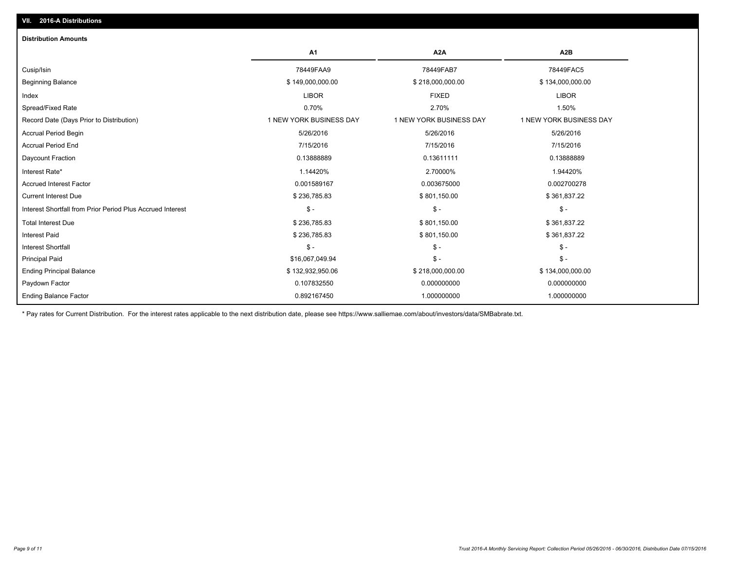| <b>Distribution Amounts</b>                                |                         |                         |                         |
|------------------------------------------------------------|-------------------------|-------------------------|-------------------------|
|                                                            | A <sub>1</sub>          | A <sub>2</sub> A        | A <sub>2</sub> B        |
| Cusip/Isin                                                 | 78449FAA9               | 78449FAB7               | 78449FAC5               |
| <b>Beginning Balance</b>                                   | \$149,000,000.00        | \$218,000,000.00        | \$134,000,000.00        |
| Index                                                      | <b>LIBOR</b>            | <b>FIXED</b>            | <b>LIBOR</b>            |
| Spread/Fixed Rate                                          | 0.70%                   | 2.70%                   | 1.50%                   |
| Record Date (Days Prior to Distribution)                   | 1 NEW YORK BUSINESS DAY | 1 NEW YORK BUSINESS DAY | 1 NEW YORK BUSINESS DAY |
| <b>Accrual Period Begin</b>                                | 5/26/2016               | 5/26/2016               | 5/26/2016               |
| <b>Accrual Period End</b>                                  | 7/15/2016               | 7/15/2016               | 7/15/2016               |
| Daycount Fraction                                          | 0.13888889              | 0.13611111              | 0.13888889              |
| Interest Rate*                                             | 1.14420%                | 2.70000%                | 1.94420%                |
| <b>Accrued Interest Factor</b>                             | 0.001589167             | 0.003675000             | 0.002700278             |
| <b>Current Interest Due</b>                                | \$236,785.83            | \$801,150.00            | \$361,837.22            |
| Interest Shortfall from Prior Period Plus Accrued Interest | $\mathsf{\$}$ -         | $\mathsf{\$}$ -         | $\frac{1}{2}$           |
| <b>Total Interest Due</b>                                  | \$236,785.83            | \$801,150.00            | \$361,837.22            |
| <b>Interest Paid</b>                                       | \$236,785.83            | \$801,150.00            | \$361,837.22            |
| <b>Interest Shortfall</b>                                  | $\mathsf{\$}$ -         | $\mathcal{S}$ -         | $\mathsf{\$}$ -         |
| <b>Principal Paid</b>                                      | \$16,067,049.94         | $\mathsf{\$}$ -         | $S -$                   |
| <b>Ending Principal Balance</b>                            | \$132,932,950.06        | \$218,000,000.00        | \$134,000,000.00        |
| Paydown Factor                                             | 0.107832550             | 0.000000000             | 0.000000000             |
| <b>Ending Balance Factor</b>                               | 0.892167450             | 1.000000000             | 1.000000000             |

\* Pay rates for Current Distribution. For the interest rates applicable to the next distribution date, please see https://www.salliemae.com/about/investors/data/SMBabrate.txt.

**VII. 2016-A Distributions**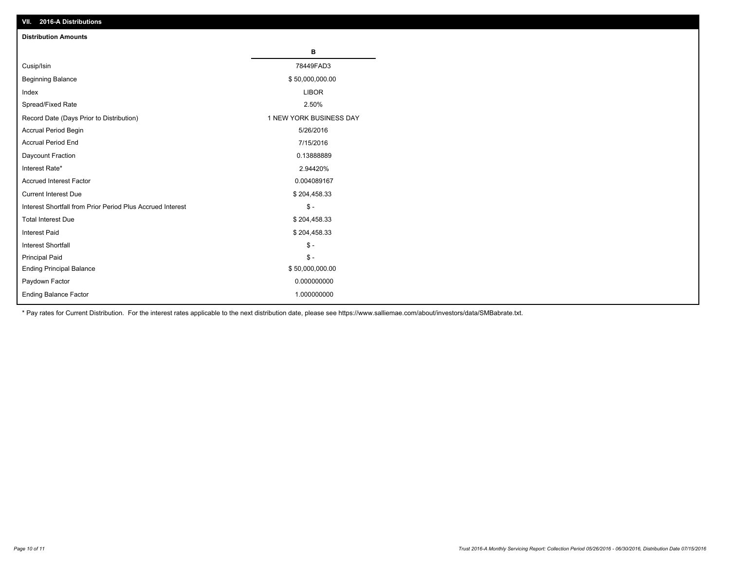| VII. 40 IV-A DISTINUTIONS                                  |                         |
|------------------------------------------------------------|-------------------------|
| <b>Distribution Amounts</b>                                |                         |
|                                                            | в                       |
| Cusip/Isin                                                 | 78449FAD3               |
| <b>Beginning Balance</b>                                   | \$50,000,000.00         |
| Index                                                      | <b>LIBOR</b>            |
| Spread/Fixed Rate                                          | 2.50%                   |
| Record Date (Days Prior to Distribution)                   | 1 NEW YORK BUSINESS DAY |
| Accrual Period Begin                                       | 5/26/2016               |
| <b>Accrual Period End</b>                                  | 7/15/2016               |
| Daycount Fraction                                          | 0.13888889              |
| Interest Rate*                                             | 2.94420%                |
| Accrued Interest Factor                                    | 0.004089167             |
| <b>Current Interest Due</b>                                | \$204,458.33            |
| Interest Shortfall from Prior Period Plus Accrued Interest | $\mathsf{\$}$ -         |
| <b>Total Interest Due</b>                                  | \$204,458.33            |
| Interest Paid                                              | \$204,458.33            |
| <b>Interest Shortfall</b>                                  | $\mathsf{\$}$ -         |
| <b>Principal Paid</b>                                      | $\frac{2}{3}$ -         |
| <b>Ending Principal Balance</b>                            | \$50,000,000.00         |
| Paydown Factor                                             | 0.000000000             |
| <b>Ending Balance Factor</b>                               | 1.000000000             |

\* Pay rates for Current Distribution. For the interest rates applicable to the next distribution date, please see https://www.salliemae.com/about/investors/data/SMBabrate.txt.

**VII. 2016-A Distributions**